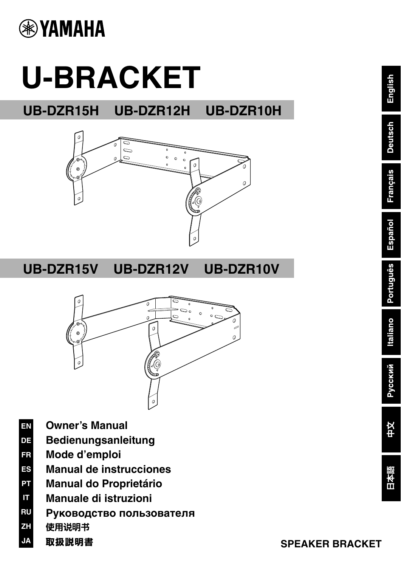

# **U-BRACKET**

**UB-DZR15H UB-DZR12H UB-DZR10H**



**UB-DZR15V UB-DZR12V UB-DZR10V**



- **EN Owner's Manual**
- **DE Bedienungsanleitung**
- **FR Mode d'emploi**
- **ES Manual de instrucciones**
- **PT Manual do Proprietário**
- **IT Manuale di istruzioni**
- **RU Руководство пользователя**
- **ZH** 使用说明书
- **JA** 取扱説明書

English

**Deutsch** 

**Français** 

Español

Português

**Italiano** 

Русский

**#X**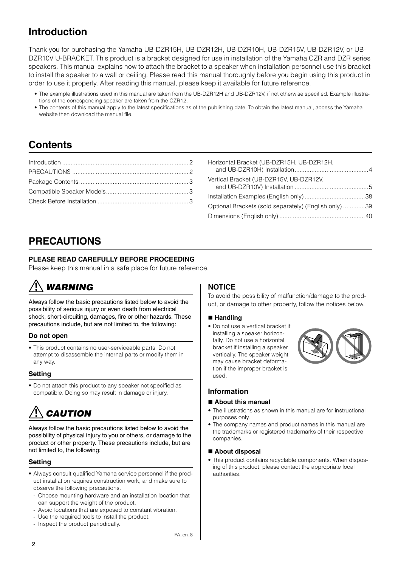# <span id="page-1-0"></span>**Introduction**

Thank you for purchasing the Yamaha UB-DZR15H, UB-DZR12H, UB-DZR10H, UB-DZR15V, UB-DZR12V, or UB-DZR10V U-BRACKET. This product is a bracket designed for use in installation of the Yamaha CZR and DZR series speakers. This manual explains how to attach the bracket to a speaker when installation personnel use this bracket to install the speaker to a wall or ceiling. Please read this manual thoroughly before you begin using this product in order to use it properly. After reading this manual, please keep it available for future reference.

- The example illustrations used in this manual are taken from the UB-DZR12H and UB-DZR12V, if not otherwise specified. Example illustrations of the corresponding speaker are taken from the CZR12.
- The contents of this manual apply to the latest specifications as of the publishing date. To obtain the latest manual, access the Yamaha website then download the manual file.

# **Contents**

| Horizontal Bracket (UB-DZR15H, UB-DZR12H,             |  |
|-------------------------------------------------------|--|
| Vertical Bracket (UB-DZR15V, UB-DZR12V,               |  |
|                                                       |  |
| Optional Brackets (sold separately) (English only) 39 |  |
|                                                       |  |

# <span id="page-1-1"></span>**PRECAUTIONS**

# **PLEASE READ CAREFULLY BEFORE PROCEEDING**

Please keep this manual in a safe place for future reference.

# WARNING

Always follow the basic precautions listed below to avoid the possibility of serious injury or even death from electrical shock, short-circuiting, damages, fire or other hazards. These precautions include, but are not limited to, the following:

# **Do not open**

• This product contains no user-serviceable parts. Do not attempt to disassemble the internal parts or modify them in any way.

# **Setting**

• Do not attach this product to any speaker not specified as compatible. Doing so may result in damage or injury.

# **CAUTION**

Always follow the basic precautions listed below to avoid the possibility of physical injury to you or others, or damage to the product or other property. These precautions include, but are not limited to, the following:

# **Setting**

- Always consult qualified Yamaha service personnel if the product installation requires construction work, and make sure to observe the following precautions.
	- Choose mounting hardware and an installation location that can support the weight of the product.
	- Avoid locations that are exposed to constant vibration.
	- Use the required tools to install the product.
	- Inspect the product periodically.

# **NOTICE**

To avoid the possibility of malfunction/damage to the product, or damage to other property, follow the notices below.

### **Handling**

• Do not use a vertical bracket if installing a speaker horizontally. Do not use a horizontal bracket if installing a speaker vertically. The speaker weight may cause bracket deformation if the improper bracket is used.



# **Information**

### **About this manual**

- The illustrations as shown in this manual are for instructional purposes only.
- The company names and product names in this manual are the trademarks or registered trademarks of their respective companies.

### ■ About disposal

• This product contains recyclable components. When disposing of this product, please contact the appropriate local authorities.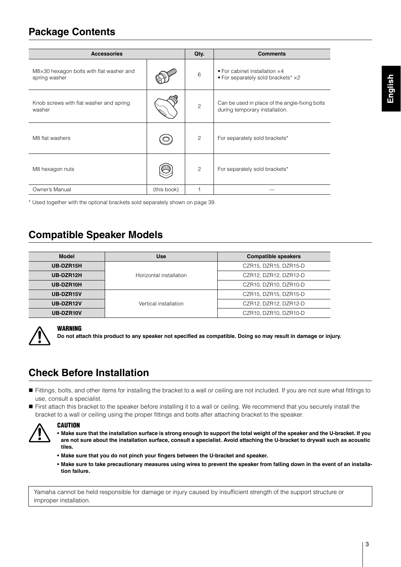# <span id="page-2-0"></span>**Package Contents**

| <b>Accessories</b>                                        |             | Qty.           | <b>Comments</b>                                                                                     |
|-----------------------------------------------------------|-------------|----------------|-----------------------------------------------------------------------------------------------------|
| M8×30 hexagon bolts with flat washer and<br>spring washer |             | 6              | $\bullet$ For cabinet installation $\times$ 4<br>$\bullet$ For separately sold brackets* $\times$ 2 |
| Knob screws with flat washer and spring<br>washer         |             | $\overline{c}$ | Can be used in place of the angle-fixing bolts<br>during temporary installation.                    |
| M8 flat washers                                           |             | $\overline{c}$ | For separately sold brackets*                                                                       |
| M8 hexagon nuts                                           |             | 2              | For separately sold brackets*                                                                       |
| Owner's Manual                                            | (this book) |                |                                                                                                     |

\* Used together with the optional brackets sold separately shown on page [39](#page-6-1).

# <span id="page-2-1"></span>**Compatible Speaker Models**

| <b>Model</b> | <b>Use</b>              | <b>Compatible speakers</b> |
|--------------|-------------------------|----------------------------|
| UB-DZR15H    |                         | CZR15, DZR15, DZR15-D      |
| UB-DZR12H    | Horizontal installation | CZR12, DZR12, DZR12-D      |
| UB-DZR10H    |                         | CZR10, DZR10, DZR10-D      |
| UB-DZR15V    | Vertical installation   | CZR15, DZR15, DZR15-D      |
| UB-DZR12V    |                         | CZR12, DZR12, DZR12-D      |
| UB-DZR10V    |                         | CZR10, DZR10, DZR10-D      |



### WARNING

**Do not attach this product to any speaker not specified as compatible. Doing so may result in damage or injury.**

# <span id="page-2-2"></span>**Check Before Installation**

- Fittings, bolts, and other items for installing the bracket to a wall or ceiling are not included. If you are not sure what fittings to use, consult a specialist.
- First attach this bracket to the speaker before installing it to a wall or ceiling. We recommend that you securely install the bracket to a wall or ceiling using the proper fittings and bolts after attaching bracket to the speaker.



# **CAUTION**

- **Make sure that the installation surface is strong enough to support the total weight of the speaker and the U-bracket. If you are not sure about the installation surface, consult a specialist. Avoid attaching the U-bracket to drywall such as acoustic tiles.**
- **Make sure that you do not pinch your fingers between the U-bracket and speaker.**
- **Make sure to take precautionary measures using wires to prevent the speaker from falling down in the event of an installation failure.**

Yamaha cannot be held responsible for damage or injury caused by insufficient strength of the support structure or improper installation.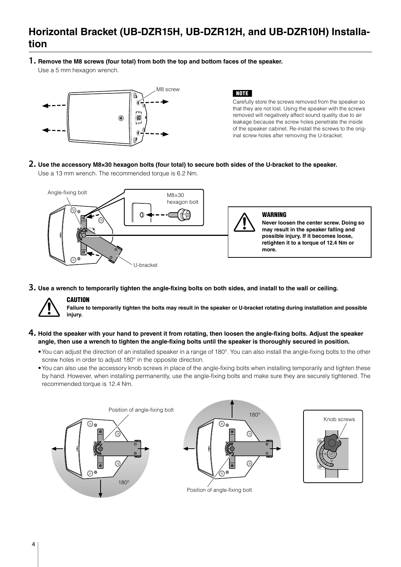# <span id="page-3-0"></span>**Horizontal Bracket (UB-DZR15H, UB-DZR12H, and UB-DZR10H) Installation**

# **1. Remove the M8 screws (four total) from both the top and bottom faces of the speaker.**

Use a 5 mm hexagon wrench.



### NOTE

Carefully store the screws removed from the speaker so that they are not lost. Using the speaker with the screws removed will negatively affect sound quality due to air leakage because the screw holes penetrate the inside of the speaker cabinet. Re-install the screws to the original screw holes after removing the U-bracket.

### **2. Use the accessory M8×30 hexagon bolts (four total) to secure both sides of the U-bracket to the speaker.** Use a 13 mm wrench. The recommended torque is 6.2 Nm.



**3. Use a wrench to temporarily tighten the angle-fixing bolts on both sides, and install to the wall or ceiling.**



# **CAUTION**

**Failure to temporarily tighten the bolts may result in the speaker or U-bracket rotating during installation and possible injury.**

### **4. Hold the speaker with your hand to prevent it from rotating, then loosen the angle-fixing bolts. Adjust the speaker angle, then use a wrench to tighten the angle-fixing bolts until the speaker is thoroughly secured in position.**

- •You can adjust the direction of an installed speaker in a range of 180°. You can also install the angle-fixing bolts to the other screw holes in order to adjust 180° in the opposite direction.
- •You can also use the accessory knob screws in place of the angle-fixing bolts when installing temporarily and tighten these by hand. However, when installing permanently, use the angle-fixing bolts and make sure they are securely tightened. The recommended torque is 12.4 Nm.

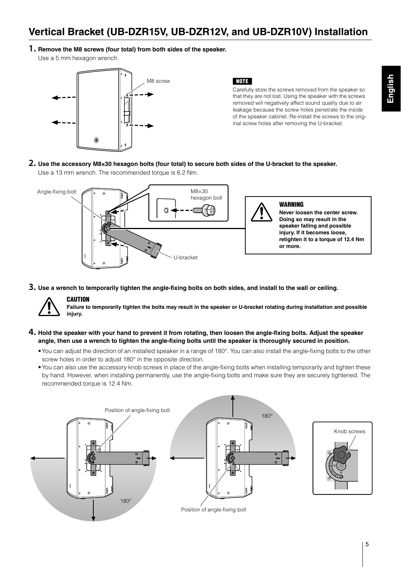# <span id="page-4-0"></span>**Vertical Bracket (UB-DZR15V, UB-DZR12V, and UB-DZR10V) Installation**

# **1. Remove the M8 screws (four total) from both sides of the speaker.**

Use a 5 mm hexagon wrench.



# NOTE

Carefully store the screws removed from the speaker so that they are not lost. Using the speaker with the screws removed will negatively affect sound quality due to air leakage because the screw holes penetrate the inside of the speaker cabinet. Re-install the screws to the original screw holes after removing the U-bracket.

# **2. Use the accessory M8×30 hexagon bolts (four total) to secure both sides of the U-bracket to the speaker.** Use a 13 mm wrench. The recommended torque is 6.2 Nm.



**3. Use a wrench to temporarily tighten the angle-fixing bolts on both sides, and install to the wall or ceiling.**



# **CAUTION**

**Failure to temporarily tighten the bolts may result in the speaker or U-bracket rotating during installation and possible injury.**

# **4. Hold the speaker with your hand to prevent it from rotating, then loosen the angle-fixing bolts. Adjust the speaker angle, then use a wrench to tighten the angle-fixing bolts until the speaker is thoroughly secured in position.**

- •You can adjust the direction of an installed speaker in a range of 180°. You can also install the angle-fixing bolts to the other screw holes in order to adjust 180° in the opposite direction.
- •You can also use the accessory knob screws in place of the angle-fixing bolts when installing temporarily and tighten these by hand. However, when installing permanently, use the angle-fixing bolts and make sure they are securely tightened. The recommended torque is 12.4 Nm.

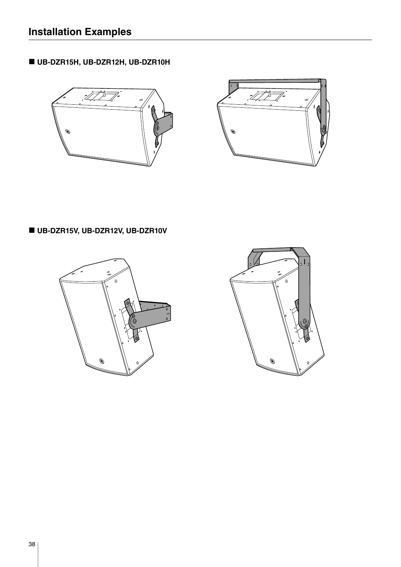<span id="page-5-0"></span>**UB-DZR15H, UB-DZR12H, UB-DZR10H**





# **UB-DZR15V, UB-DZR12V, UB-DZR10V**



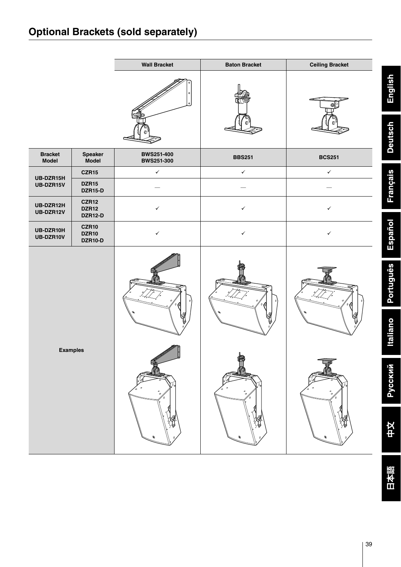<span id="page-6-1"></span><span id="page-6-0"></span>

|                                |                                                | <b>Wall Bracket</b>                    | <b>Baton Bracket</b> | <b>Ceiling Bracket</b> |                                     |
|--------------------------------|------------------------------------------------|----------------------------------------|----------------------|------------------------|-------------------------------------|
|                                |                                                |                                        |                      | op⊵                    | English                             |
|                                |                                                |                                        |                      |                        | <b>Deutsch</b>                      |
| <b>Bracket</b><br><b>Model</b> | Speaker<br>Model                               | <b>BWS251-400</b><br><b>BWS251-300</b> | <b>BBS251</b>        | <b>BCS251</b>          |                                     |
| UB-DZR15H                      | CZR15                                          | $\checkmark$                           | $\checkmark$         | $\checkmark$           |                                     |
| UB-DZR15V                      | <b>DZR15</b><br><b>DZR15-D</b>                 |                                        |                      |                        | <b>Français</b>                     |
| UB-DZR12H<br>UB-DZR12V         | <b>CZR12</b><br><b>DZR12</b><br><b>DZR12-D</b> | $\checkmark$                           | $\checkmark$         | $\checkmark$           |                                     |
| UB-DZR10H<br>UB-DZR10V         | <b>CZR10</b><br><b>DZR10</b><br><b>DZR10-D</b> | $\checkmark$                           | $\checkmark$         | ✓                      | Español                             |
|                                |                                                |                                        |                      |                        | <b>Português</b><br><b>Italiano</b> |
|                                | <b>Examples</b>                                | િં<br>$\circ$                          | ₩<br>61<br>c         | 0 <sup>2</sup>         | <b>Русский</b>                      |
|                                |                                                | <b>XY</b>                              | <b>W</b><br>۰        | H<br>۹                 | 中文                                  |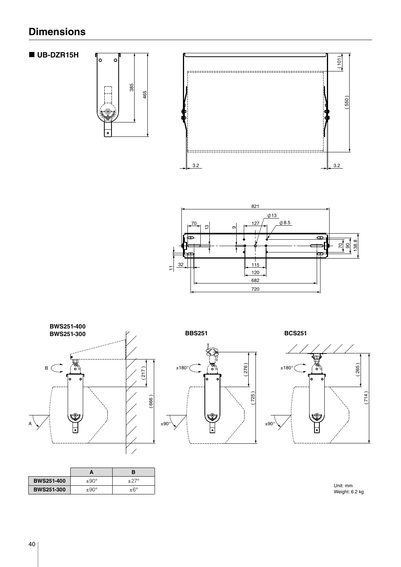# <span id="page-7-0"></span>**Dimensions**

**UB-DZR15H**

 $\circ$ 







|                   |                | R           |
|-------------------|----------------|-------------|
| <b>BWS251-400</b> | $\pm 90^\circ$ | $+27^\circ$ |
| <b>BWS251-300</b> | $+90^\circ$    | $+6^\circ$  |



( 265 ) ূত্র<br>০ ۱۰ c ( 714 ) V2

> Unit: mm Weight: 6.2 kg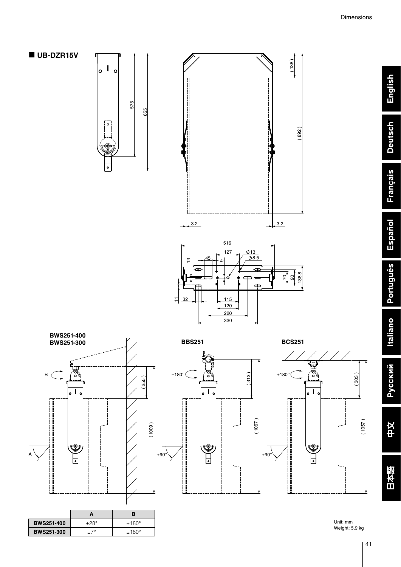







( 313 )

 $\overline{\bullet}$  l  $\circ$ 

V.

( 1067 )



|                   | A           | в              |
|-------------------|-------------|----------------|
| <b>BWS251-400</b> | $+28^\circ$ | $±180^{\circ}$ |
| <b>BWS251-300</b> | +7°         | $±180^{\circ}$ |



Unit: mm Weight: 5.9 kg English

**Deutsch** 

**Français**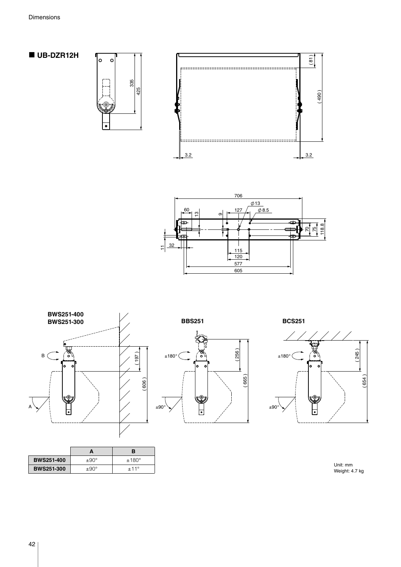**UB-DZR12H**

 $\circ$ 

 $\bullet$ 







Unit: mm Weight: 4.7 kg

|                   | А                | в              |
|-------------------|------------------|----------------|
| <b>BWS251-400</b> | $\pm 90^\circ$   | $±180^{\circ}$ |
| <b>BWS251-300</b> | $\pm 90^{\circ}$ | $+11^{\circ}$  |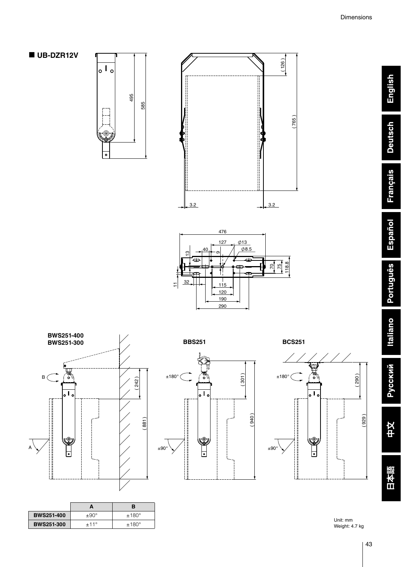English

**Deutsch** 

**Français** 

Español

Português

**UB-DZR12V**









|                   |               | в              |
|-------------------|---------------|----------------|
| <b>BWS251-400</b> | $+90^\circ$   | $±180^{\circ}$ |
| <b>BWS251-300</b> | $+11^{\circ}$ | $±180^{\circ}$ |

 ( 301 )  $\pm 180^{\circ}$   $\begin{bmatrix} \circ \\ \circ \circ \end{bmatrix}$   $\begin{bmatrix} \circ \\ \circ \end{bmatrix}$   $\pm 180^{\circ}$  $\overline{\overline{\phantom{a}}\phantom{a}}$  ( 940 ) NQ) ±90° ±90°



Unit: mm Weight: 4.7 kg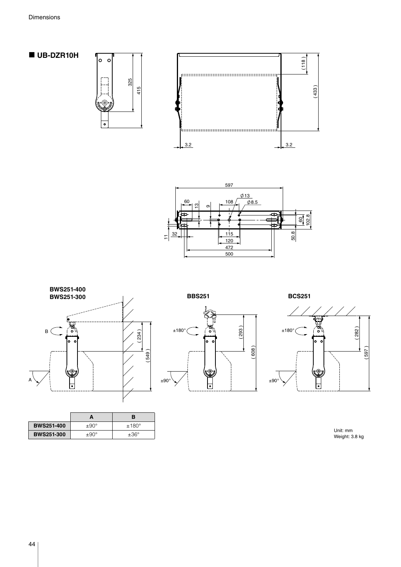





|                   | A           | в              |
|-------------------|-------------|----------------|
| <b>BWS251-400</b> | $+90^\circ$ | $±180^{\circ}$ |
| <b>BWS251-300</b> | $+90^\circ$ | $+36^\circ$    |





Unit: mm Weight: 3.8 kg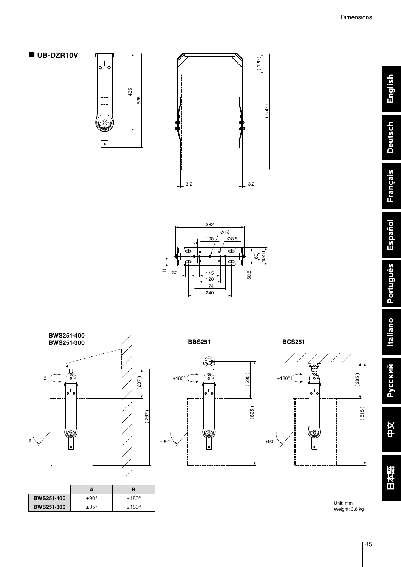English

**Deutsch** 

**Français** 

Español

Português

**Italiano** 

**Русский** 

中文











|                   |                  | в              |
|-------------------|------------------|----------------|
| <b>BWS251-400</b> | $+90^\circ$      | $±180^{\circ}$ |
| <b>BWS251-300</b> | $\pm 35^{\circ}$ | $±180^{\circ}$ |





Unit: mm Weight: 3.6 kg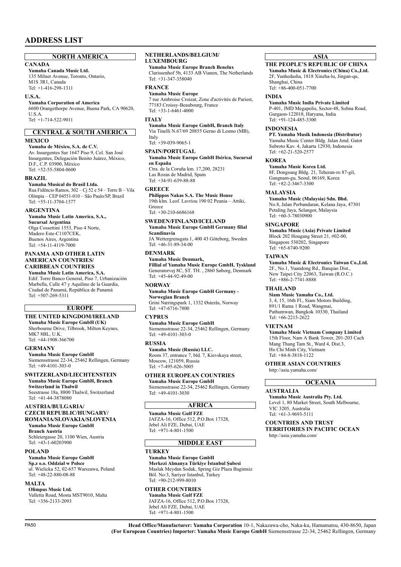### **NORTH AMERICA**

### **CANADA**

**Yamaha Canada Music Ltd.** 135 Milner Avenue, Toronto, Ontario, M1S 3R1, Canada Tel: +1-416-298-1311

#### **U.S.A.**

**Yamaha Corporation of America**  6600 Orangethorpe Avenue, Buena Park, CA 90620, U.S.A. Tel: +1-714-522-9011

#### **MEXICO CENTRAL & SOUTH AMERICA**

**Yamaha de México, S.A. de C.V.** Av. Insurgentes Sur 1647 Piso 9, Col. San José Insurgentes, Delegación Benito Juárez, México, D.F., C.P. 03900, México Tel: +52-55-5804-0600

#### **BRAZIL**

**Yamaha Musical do Brasil Ltda.** Rua Fidêncio Ramos, 302 – Cj 52 e 54 – Torre B – Vila

Olímpia – CEP 04551-010 – São Paulo/SP, Brazil Tel: +55-11-3704-1377

#### **ARGENTINA**

**Yamaha Music Latin America, S.A., Sucursal Argentina** Olga Cossettini 1553, Piso 4 Norte, Madero Este-C1107CEK, Buenos Aires, Argentina Tel: +54-11-4119-7000

#### **PANAMA AND OTHER LATIN AMERICAN COUNTRIES/ CARIBBEAN COUNTRIES**

#### **Yamaha Music Latin America, S.A.**

Edif. Torre Banco General, Piso 7, Urbanización Marbella, Calle 47 y Aquilino de la Guardia, Ciudad de Panamá, República de Panamá Tel: +507-269-5311

# **EUROPE**

# **THE UNITED KINGDOM/IRELAND**

**Yamaha Music Europe GmbH (UK)** Sherbourne Drive, Tilbrook, Milton Keynes, MK7 8BL, U.K. Tel: +44-1908-366700

#### **GERMANY**

**Yamaha Music Europe GmbH** Siemensstrasse 22-34, 25462 Rellingen, Germany Tel: +49-4101-303-0

#### **SWITZERLAND/LIECHTENSTEIN**

**Yamaha Music Europe GmbH, Branch Switzerland in Thalwil**  Seestrasse 18a, 8800 Thalwil, Switzerland Tel: +41-44-3878080

#### **AUSTRIA/BULGARIA/**

#### **CZECH REPUBLIC/HUNGARY/ ROMANIA/SLOVAKIA/SLOVENIA**

**Yamaha Music Europe GmbH Branch Austria** Schleiergasse 20, 1100 Wien, Austria Tel: +43-1-60203900

#### **POLAND**

**Yamaha Music Europe GmbH Sp.z o.o. Oddział w Polsce** ul. Wielicka 52, 02-657 Warszawa, Poland Tel: +48-22-880-08-88

#### **MALTA**

**Olimpus Music Ltd.** Valletta Road, Mosta MST9010, Malta Tel: +356-2133-2093

#### **NETHERLANDS/BELGIUM/ LUXEMBOURG**

**Yamaha Music Europe Branch Benelux** Clarissenhof 5b, 4133 AB Vianen, The Netherlands Tel: +31-347-358040

#### **FRANCE**

**Yamaha Music Europe**  7 rue Ambroise Croizat, Zone d'activités de Pariest, 77183 Croissy-Beaubourg, France Tel: +33-1-6461-4000

#### **ITALY**

**Yamaha Music Europe GmbH, Branch Italy** Via Tinelli N.67/69 20855 Gerno di Lesmo (MB), Italy  $TeI: +39-039-9065-1$ 

#### **SPAIN/PORTUGAL Yamaha Music Europe GmbH Ibérica, Sucursal en España**

Ctra. de la Coruña km. 17,200, 28231 Las Rozas de Madrid, Spain Tel: +34-91-639-88-88

#### **GREECE**

**Philippos Nakas S.A. The Music House** 19th klm. Leof. Lavriou 190 02 Peania – Attiki, Greece Tel: +30-210-6686168

#### **SWEDEN/FINLAND/ICELAND Yamaha Music Europe GmbH Germany filial Scandinavia**

JA Wettergrensgata 1, 400 43 Göteborg, Sweden Tel:  $+46-31-89-34-00$ 

#### **DENMARK**

**Yamaha Music Denmark, Fillial of Yamaha Music Europe GmbH, Tyskland** Generatorvej 8C, ST. TH. , 2860 Søborg, Denmark Tel: +45-44-92-49-00

#### **NORWAY**

**Yamaha Music Europe GmbH Germany - Norwegian Branch**

Grini Næringspark 1, 1332 Østerås, Norway Tel: +47-6716-7800

#### **CYPRUS**

**Yamaha Music Europe GmbH** Siemensstrasse 22-34, 25462 Rellingen, Germany Tel: +49-4101-303-0

#### **RUSSIA**

**Yamaha Music (Russia) LLC.** Room 37, entrance 7, bld. 7, Kievskaya street, Moscow, 121059, Russia Tel: +7-495-626-5005

# **OTHER EUROPEAN COUNTRIES**

**Yamaha Music Europe GmbH** Siemensstrasse 22-34, 25462 Rellingen, Germany

Tel: +49-4101-3030

### **AFRICA**

**Yamaha Music Gulf FZE** JAFZA-16, Office 512, P.O.Box 17328, Jebel Ali FZE, Dubai, UAE Tel: +971-4-801-1500

### **MIDDLE EAST**

### **TURKEY**

#### **Yamaha Music Europe GmbH Merkezi Almanya Türkiye İstanbul Şubesi** Maslak Meydan Sodak, Spring Giz Plaza Bagimsiz

Böl. No:3, Sariyer Istanbul, Turkey Tel: +90-212-999-8010

# **OTHER COUNTRIES**

**Yamaha Music Gulf FZE** JAFZA-16, Office 512, P.O.Box 17328, Jebel Ali FZE, Dubai, UAE Tel: +971-4-801-1500

#### **ASIA**

#### **THE PEOPLE'S REPUBLIC OF CHINA Yamaha Music & Electronics (China) Co.,Ltd.**

2F, Yunhedasha, 1818 Xinzha-lu, Jingan-qu, Shanghai, China Tel: +86-400-051-7700

#### **INDIA**

#### **Yamaha Music India Private Limited**

P-401, JMD Megapolis, Sector-48, Sohna Road, Gurgaon-122018, Haryana, India Tel: +91-124-485-3300

#### **INDONESIA**

**PT. Yamaha Musik Indonesia (Distributor)**  Yamaha Music Center Bldg. Jalan Jend. Gatot Subroto Kav. 4, Jakarta 12930, Indonesia Tel: +62-21-520-2577

#### **KOREA**

**Yamaha Music Korea Ltd.** 8F, Dongsung Bldg. 21, Teheran-ro 87-gil, Gangnam-gu, Seoul, 06169, Korea

#### Tel: +82-2-3467-3300

**MALAYSIA Yamaha Music (Malaysia) Sdn. Bhd.** No.8, Jalan Perbandaran, Kelana Jaya, 47301 Petaling Jaya, Selangor, Malaysia

Tel: +60-3-78030900

#### **SINGAPORE**

**Yamaha Music (Asia) Private Limited** Block 202 Hougang Street 21, #02-00, Singapore 530202, Singapore Tel: +65-6740-9200

#### **TAIWAN**

**Yamaha Music & Electronics Taiwan Co.,Ltd.** 2F., No.1, Yuandong Rd., Banqiao Dist., New Taipei City 22063, Taiwan (R.O.C.) Tel: +886-2-7741-8888

#### **THAILAND**

**Siam Music Yamaha Co., Ltd.** 3, 4, 15, 16th Fl., Siam Motors Building, 891/1 Rama 1 Road, Wangmai, Pathumwan, Bangkok 10330, Thailand Tel: +66-2215-2622

#### **VIETNAM**

**Yamaha Music Vietnam Company Limited** 15th Floor, Nam A Bank Tower, 201-203 Cach Mang Thang Tam St., Ward 4, Dist.3, Ho Chi Minh City, Vietnam Tel: +84-8-3818-1122

#### **OTHER ASIAN COUNTRIES**

http://asia.yamaha.com/

# **OCEANIA**

#### **AUSTRALIA**

**Yamaha Music Australia Pty. Ltd.** Level 1, 80 Market Street, South Melbourne, VIC 3205, Australia Tel: +61-3-9693-5111

#### **COUNTRIES AND TRUST TERRITORIES IN PACIFIC OCEAN**

http://asia.yamaha.com/